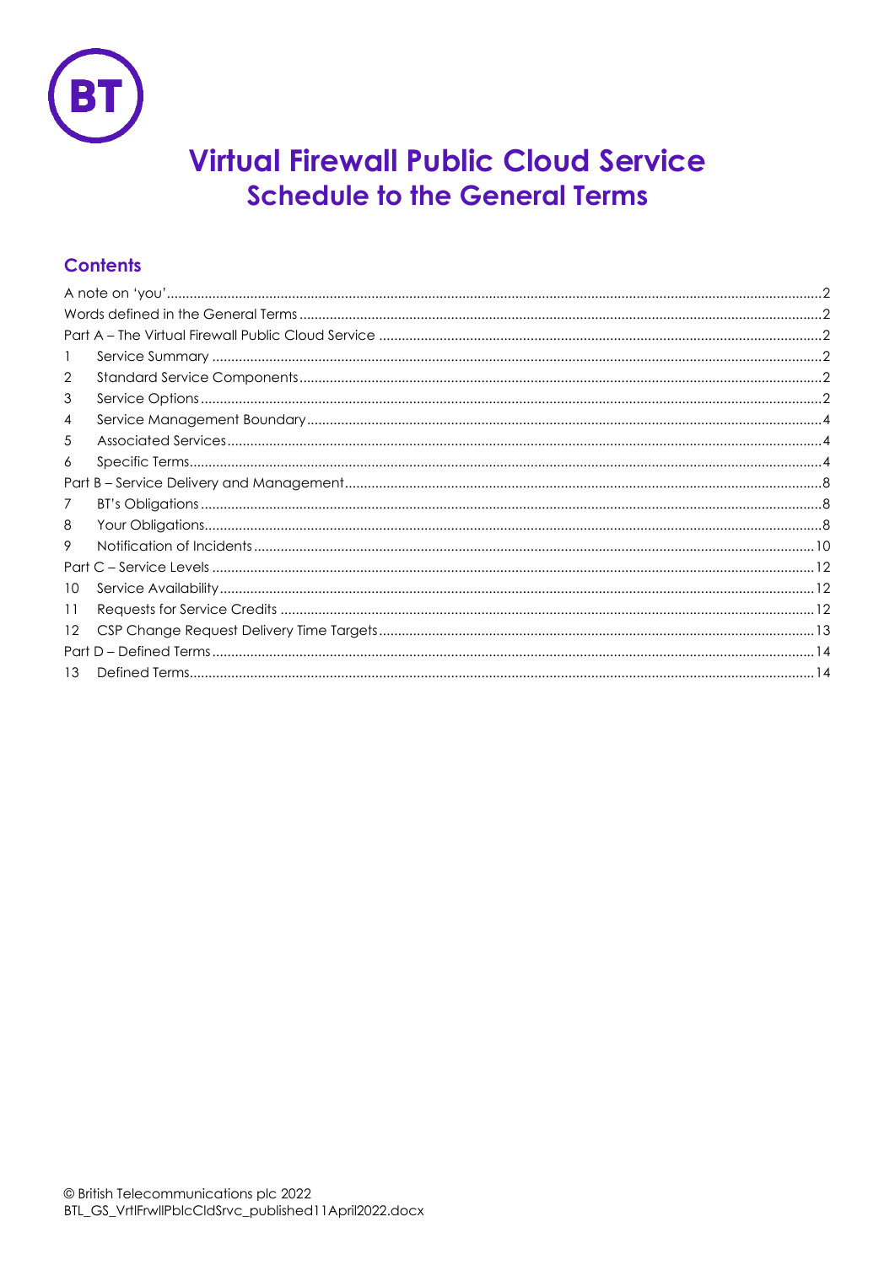

# **Virtual Firewall Public Cloud Service Schedule to the General Terms**

# **Contents**

| -1                |  |  |
|-------------------|--|--|
| 2                 |  |  |
| 3                 |  |  |
| 4                 |  |  |
| 5                 |  |  |
| 6                 |  |  |
|                   |  |  |
| 7                 |  |  |
| 8                 |  |  |
| 9                 |  |  |
|                   |  |  |
| 10                |  |  |
| 11                |  |  |
| $12 \overline{ }$ |  |  |
|                   |  |  |
| 13                |  |  |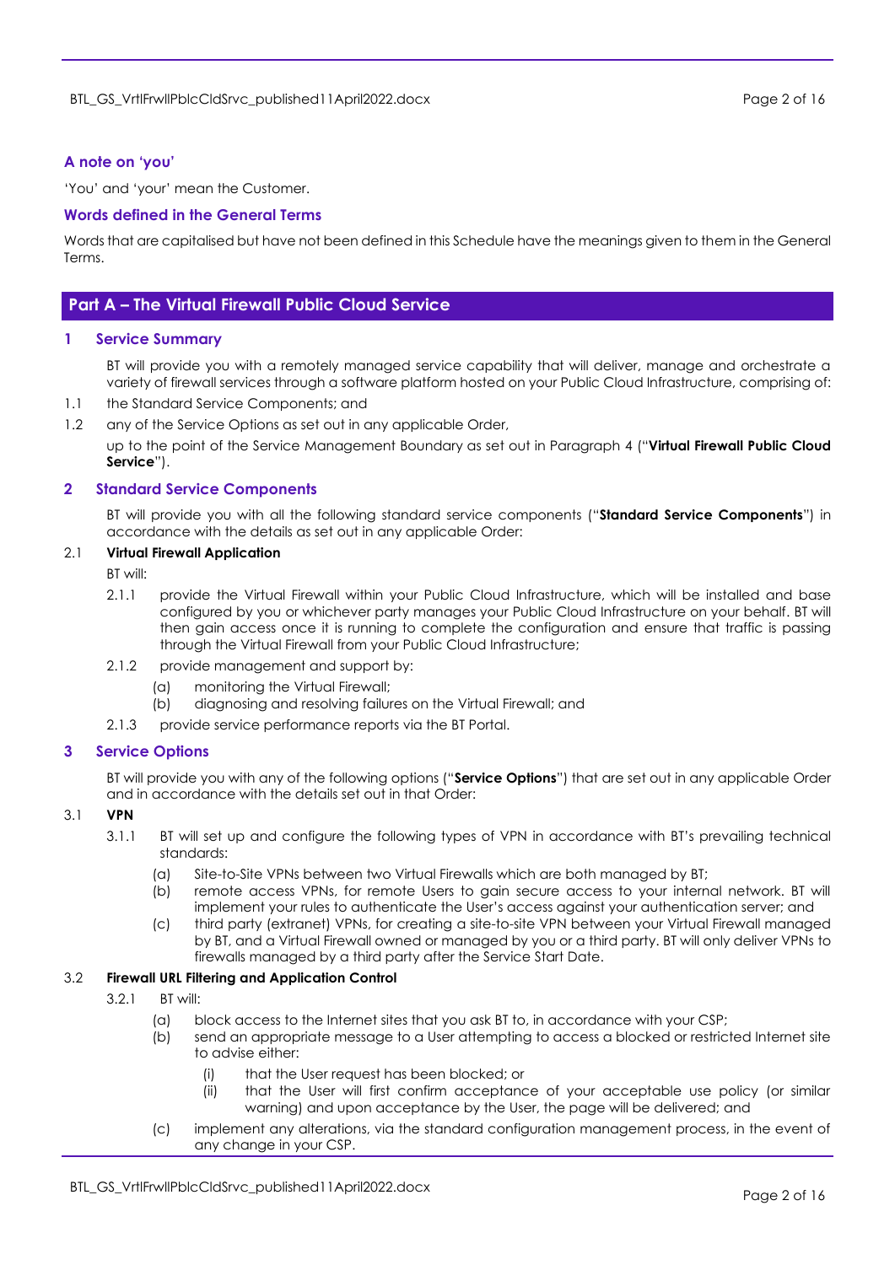# <span id="page-1-0"></span>**A note on 'you'**

'You' and 'your' mean the Customer.

# <span id="page-1-1"></span>**Words defined in the General Terms**

Words that are capitalised but have not been defined in this Schedule have the meanings given to them in the General Terms.

# <span id="page-1-2"></span>**Part A – The Virtual Firewall Public Cloud Service**

## <span id="page-1-3"></span>**1 Service Summary**

BT will provide you with a remotely managed service capability that will deliver, manage and orchestrate a variety of firewall services through a software platform hosted on your Public Cloud Infrastructure, comprising of:

- 1.1 the Standard Service Components; and
- 1.2 any of the Service Options as set out in any applicable Order,

up to the point of the Service Management Boundary as set out in Paragraph [4](#page-3-0) ("**Virtual Firewall Public Cloud Service**").

# <span id="page-1-4"></span>**2 Standard Service Components**

BT will provide you with all the following standard service components ("**Standard Service Components**") in accordance with the details as set out in any applicable Order:

# 2.1 **Virtual Firewall Application**

BT will:

- 2.1.1 provide the Virtual Firewall within your Public Cloud Infrastructure, which will be installed and base configured by you or whichever party manages your Public Cloud Infrastructure on your behalf. BT will then gain access once it is running to complete the configuration and ensure that traffic is passing through the Virtual Firewall from your Public Cloud Infrastructure;
- 2.1.2 provide management and support by:
	- (a) monitoring the Virtual Firewall;
	- (b) diagnosing and resolving failures on the Virtual Firewall; and
- 2.1.3 provide service performance reports via the BT Portal.

# <span id="page-1-5"></span>**3 Service Options**

BT will provide you with any of the following options ("**Service Options**") that are set out in any applicable Order and in accordance with the details set out in that Order:

# <span id="page-1-6"></span>3.1 **VPN**

- 3.1.1 BT will set up and configure the following types of VPN in accordance with BT's prevailing technical standards:
	- (a) Site-to-Site VPNs between two Virtual Firewalls which are both managed by BT;
	- (b) remote access VPNs, for remote Users to gain secure access to your internal network. BT will implement your rules to authenticate the User's access against your authentication server; and
	- (c) third party (extranet) VPNs, for creating a site-to-site VPN between your Virtual Firewall managed by BT, and a Virtual Firewall owned or managed by you or a third party. BT will only deliver VPNs to firewalls managed by a third party after the Service Start Date.

# 3.2 **Firewall URL Filtering and Application Control**

- 3.2.1 BT will:
	- (a) block access to the Internet sites that you ask BT to, in accordance with your CSP;
	- (b) send an appropriate message to a User attempting to access a blocked or restricted Internet site to advise either:
		- (i) that the User request has been blocked; or
		- (ii) that the User will first confirm acceptance of your acceptable use policy (or similar warning) and upon acceptance by the User, the page will be delivered; and
	- (c) implement any alterations, via the standard configuration management process, in the event of any change in your CSP.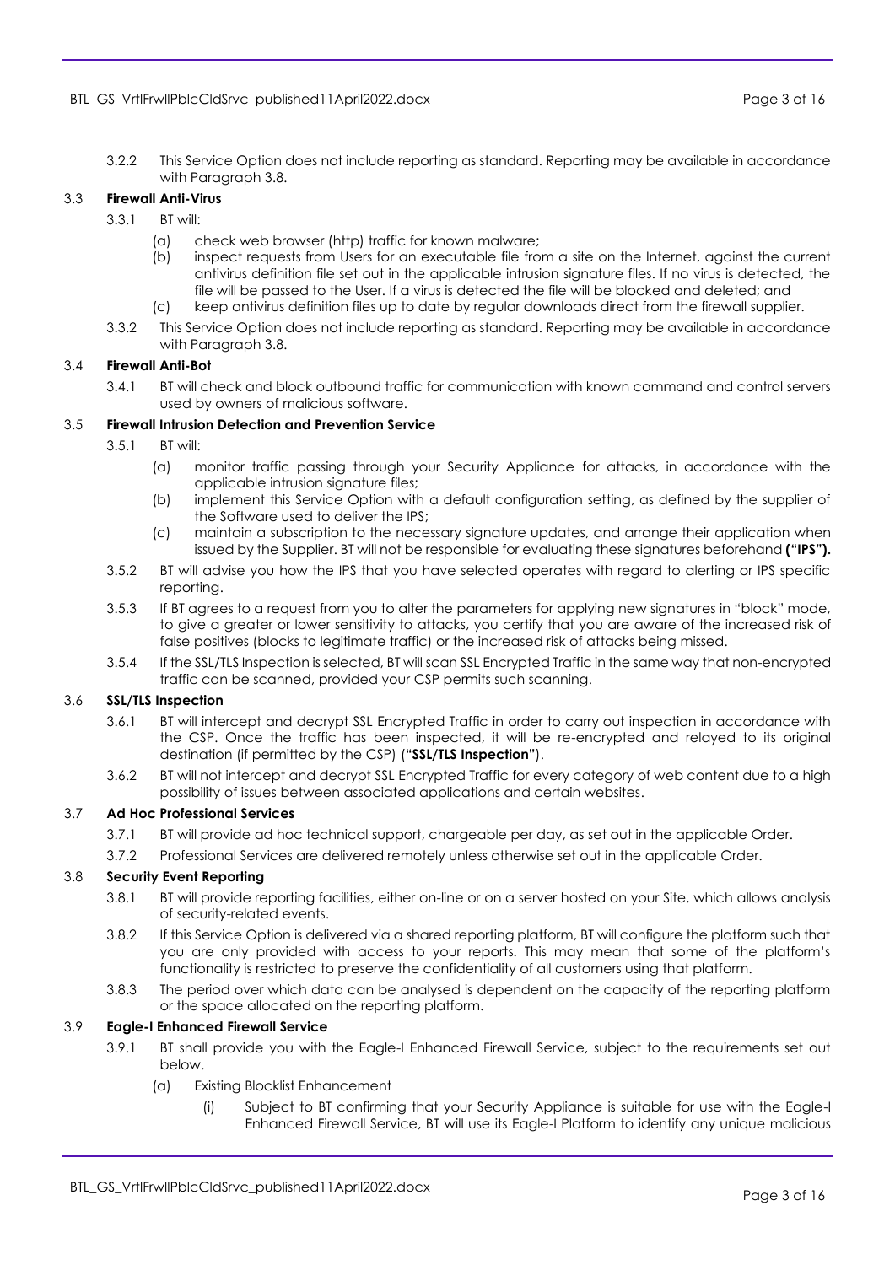3.2.2 This Service Option does not include reporting as standard. Reporting may be available in accordance with Paragraph 3.8.

# 3.3 **Firewall Anti-Virus**

- 3.3.1 BT will:
	- (a) check web browser (http) traffic for known malware;
	- (b) inspect requests from Users for an executable file from a site on the Internet, against the current antivirus definition file set out in the applicable intrusion signature files. If no virus is detected, the file will be passed to the User. If a virus is detected the file will be blocked and deleted; and
	- (c) keep antivirus definition files up to date by regular downloads direct from the firewall supplier.
- 3.3.2 This Service Option does not include reporting as standard. Reporting may be available in accordance with Paragraph 3.8.

#### 3.4 **Firewall Anti-Bot**

3.4.1 BT will check and block outbound traffic for communication with known command and control servers used by owners of malicious software.

## <span id="page-2-1"></span>3.5 **Firewall Intrusion Detection and Prevention Service**

- 3.5.1 BT will:
	- (a) monitor traffic passing through your Security Appliance for attacks, in accordance with the applicable intrusion signature files;
	- (b) implement this Service Option with a default configuration setting, as defined by the supplier of the Software used to deliver the IPS;
	- (c) maintain a subscription to the necessary signature updates, and arrange their application when issued by the Supplier. BT will not be responsible for evaluating these signatures beforehand **("IPS").**
- 3.5.2 BT will advise you how the IPS that you have selected operates with regard to alerting or IPS specific reporting.
- 3.5.3 If BT agrees to a request from you to alter the parameters for applying new signatures in "block" mode, to give a greater or lower sensitivity to attacks, you certify that you are aware of the increased risk of false positives (blocks to legitimate traffic) or the increased risk of attacks being missed.
- 3.5.4 If the SSL/TLS Inspection is selected, BT will scan SSL Encrypted Traffic in the same way that non-encrypted traffic can be scanned, provided your CSP permits such scanning.

# <span id="page-2-2"></span>3.6 **SSL/TLS Inspection**

- 3.6.1 BT will intercept and decrypt SSL Encrypted Traffic in order to carry out inspection in accordance with the CSP. Once the traffic has been inspected, it will be re-encrypted and relayed to its original destination (if permitted by the CSP) (**"SSL/TLS Inspection"**).
- 3.6.2 BT will not intercept and decrypt SSL Encrypted Traffic for every category of web content due to a high possibility of issues between associated applications and certain websites.

#### 3.7 **Ad Hoc Professional Services**

- 3.7.1 BT will provide ad hoc technical support, chargeable per day, as set out in the applicable Order.
- 3.7.2 Professional Services are delivered remotely unless otherwise set out in the applicable Order.

#### 3.8 **Security Event Reporting**

- 3.8.1 BT will provide reporting facilities, either on-line or on a server hosted on your Site, which allows analysis of security-related events.
- 3.8.2 If this Service Option is delivered via a shared reporting platform, BT will configure the platform such that you are only provided with access to your reports. This may mean that some of the platform's functionality is restricted to preserve the confidentiality of all customers using that platform.
- 3.8.3 The period over which data can be analysed is dependent on the capacity of the reporting platform or the space allocated on the reporting platform.

# 3.9 **Eagle-I Enhanced Firewall Service**

- <span id="page-2-0"></span>3.9.1 BT shall provide you with the Eagle-I Enhanced Firewall Service, subject to the requirements set out below.
	- (a) Existing Blocklist Enhancement
		- (i) Subject to BT confirming that your Security Appliance is suitable for use with the Eagle-I Enhanced Firewall Service, BT will use its Eagle-I Platform to identify any unique malicious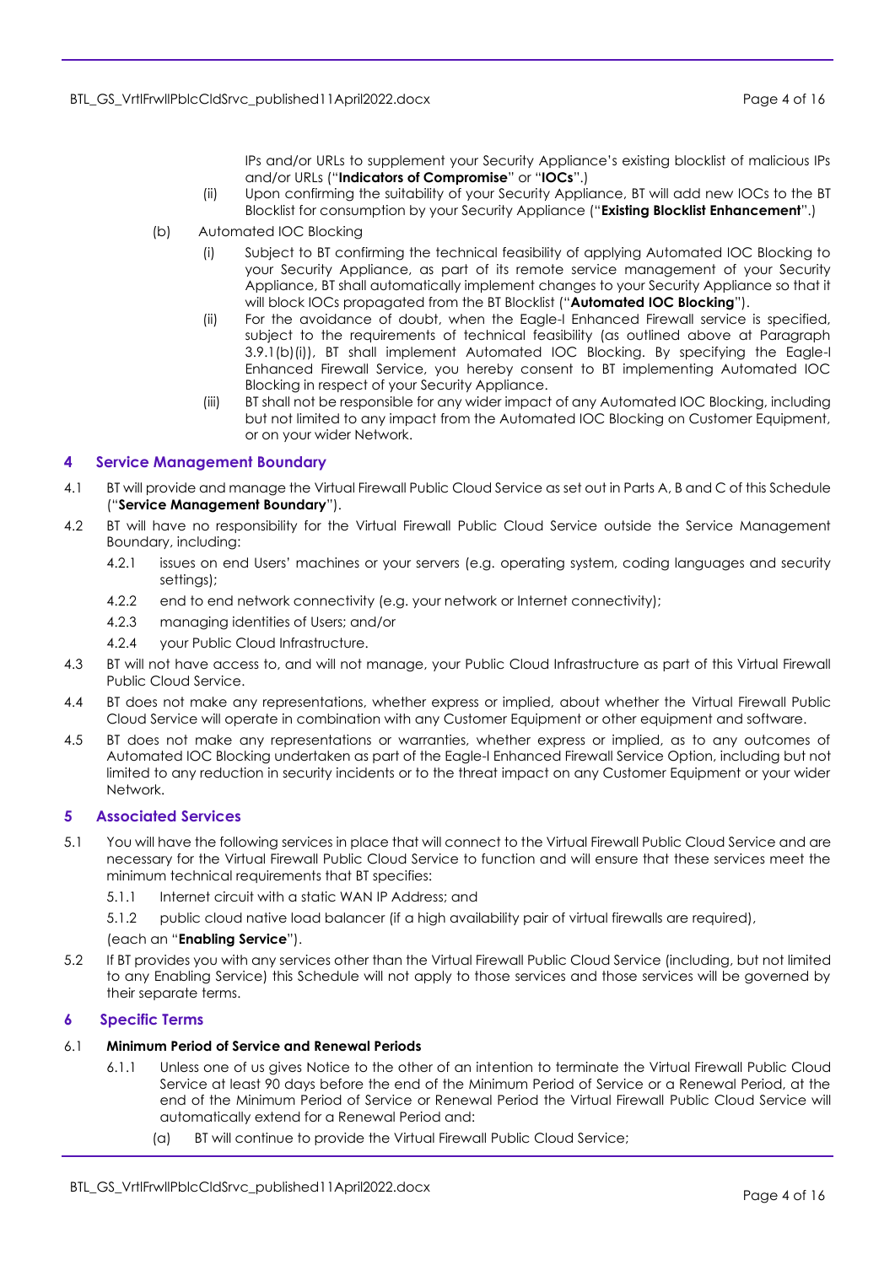IPs and/or URLs to supplement your Security Appliance's existing blocklist of malicious IPs and/or URLs ("**Indicators of Compromise**" or "**IOCs**".)

- (ii) Upon confirming the suitability of your Security Appliance, BT will add new IOCs to the BT Blocklist for consumption by your Security Appliance ("**Existing Blocklist Enhancement**".)
- <span id="page-3-6"></span><span id="page-3-3"></span>(b) Automated IOC Blocking
	- (i) Subject to BT confirming the technical feasibility of applying Automated IOC Blocking to your Security Appliance, as part of its remote service management of your Security Appliance, BT shall automatically implement changes to your Security Appliance so that it will block IOCs propagated from the BT Blocklist ("**Automated IOC Blocking**").
	- (ii) For the avoidance of doubt, when the Eagle-I Enhanced Firewall service is specified, subject to the requirements of technical feasibility (as outlined above at Paragraph 3.9.1(b[\)\(i\)\)](#page-3-3), BT shall implement Automated IOC Blocking. By specifying the Eagle-I Enhanced Firewall Service, you hereby consent to BT implementing Automated IOC Blocking in respect of your Security Appliance.
	- (iii) BT shall not be responsible for any wider impact of any Automated IOC Blocking, including but not limited to any impact from the Automated IOC Blocking on Customer Equipment, or on your wider Network.

## <span id="page-3-0"></span>**4 Service Management Boundary**

- <span id="page-3-7"></span>4.1 BT will provide and manage the Virtual Firewall Public Cloud Service as set out in Parts A, B and C of this Schedule ("**Service Management Boundary**").
- 4.2 BT will have no responsibility for the Virtual Firewall Public Cloud Service outside the Service Management Boundary, including:
	- 4.2.1 issues on end Users' machines or your servers (e.g. operating system, coding languages and security settings);
	- 4.2.2 end to end network connectivity (e.g. your network or Internet connectivity);
	- 4.2.3 managing identities of Users; and/or
	- 4.2.4 your Public Cloud Infrastructure.
- 4.3 BT will not have access to, and will not manage, your Public Cloud Infrastructure as part of this Virtual Firewall Public Cloud Service.
- 4.4 BT does not make any representations, whether express or implied, about whether the Virtual Firewall Public Cloud Service will operate in combination with any Customer Equipment or other equipment and software.
- 4.5 BT does not make any representations or warranties, whether express or implied, as to any outcomes of Automated IOC Blocking undertaken as part of the Eagle-I Enhanced Firewall Service Option, including but not limited to any reduction in security incidents or to the threat impact on any Customer Equipment or your wider Network.

# <span id="page-3-1"></span>**5 Associated Services**

- <span id="page-3-5"></span>5.1 You will have the following services in place that will connect to the Virtual Firewall Public Cloud Service and are necessary for the Virtual Firewall Public Cloud Service to function and will ensure that these services meet the minimum technical requirements that BT specifies:
	- 5.1.1 Internet circuit with a static WAN IP Address; and
	- 5.1.2 public cloud native load balancer (if a high availability pair of virtual firewalls are required),

#### (each an "**Enabling Service**").

5.2 If BT provides you with any services other than the Virtual Firewall Public Cloud Service (including, but not limited to any Enabling Service) this Schedule will not apply to those services and those services will be governed by their separate terms.

#### <span id="page-3-2"></span>**6 Specific Terms**

#### <span id="page-3-4"></span>6.1 **Minimum Period of Service and Renewal Periods**

- 6.1.1 Unless one of us gives Notice to the other of an intention to terminate the Virtual Firewall Public Cloud Service at least 90 days before the end of the Minimum Period of Service or a Renewal Period, at the end of the Minimum Period of Service or Renewal Period the Virtual Firewall Public Cloud Service will automatically extend for a Renewal Period and:
	- (a) BT will continue to provide the Virtual Firewall Public Cloud Service;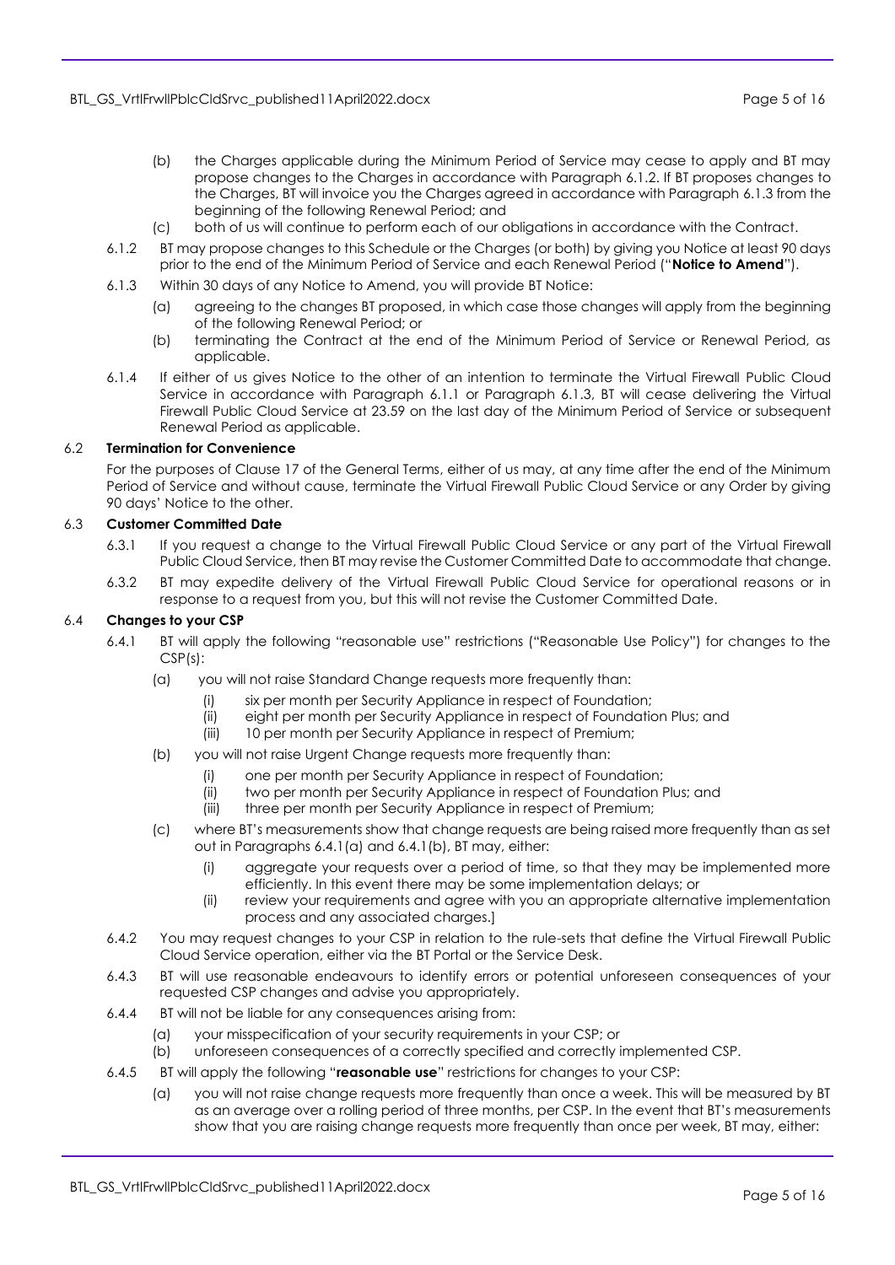- (b) the Charges applicable during the Minimum Period of Service may cease to apply and BT may propose changes to the Charges in accordance with Paragraph [6.1.2.](#page-4-0) If BT proposes changes to the Charges, BT will invoice you the Charges agreed in accordance with Paragraph [6.1.3](#page-4-1) from the beginning of the following Renewal Period; and
- (c) both of us will continue to perform each of our obligations in accordance with the Contract.
- <span id="page-4-0"></span>6.1.2 BT may propose changes to this Schedule or the Charges (or both) by giving you Notice at least 90 days prior to the end of the Minimum Period of Service and each Renewal Period ("**Notice to Amend**").
- <span id="page-4-1"></span>6.1.3 Within 30 days of any Notice to Amend, you will provide BT Notice:
	- (a) agreeing to the changes BT proposed, in which case those changes will apply from the beginning of the following Renewal Period; or
	- (b) terminating the Contract at the end of the Minimum Period of Service or Renewal Period, as applicable.
- 6.1.4 If either of us gives Notice to the other of an intention to terminate the Virtual Firewall Public Cloud Service in accordance with Paragraph [6.1.1](#page-3-4) or Paragraph [6.1.3,](#page-4-1) BT will cease delivering the Virtual Firewall Public Cloud Service at 23.59 on the last day of the Minimum Period of Service or subsequent Renewal Period as applicable.

## 6.2 **Termination for Convenience**

For the purposes of Clause 17 of the General Terms, either of us may, at any time after the end of the Minimum Period of Service and without cause, terminate the Virtual Firewall Public Cloud Service or any Order by giving 90 days' Notice to the other.

# 6.3 **Customer Committed Date**

- 6.3.1 If you request a change to the Virtual Firewall Public Cloud Service or any part of the Virtual Firewall Public Cloud Service, then BT may revise the Customer Committed Date to accommodate that change.
- 6.3.2 BT may expedite delivery of the Virtual Firewall Public Cloud Service for operational reasons or in response to a request from you, but this will not revise the Customer Committed Date.

## <span id="page-4-2"></span>6.4 **Changes to your CSP**

- 6.4.1 BT will apply the following "reasonable use" restrictions ("Reasonable Use Policy") for changes to the CSP(s):
	- (a) you will not raise Standard Change requests more frequently than:
		- (i) six per month per Security Appliance in respect of Foundation;
		- (ii) eight per month per Security Appliance in respect of Foundation Plus; and
		- (iii) 10 per month per Security Appliance in respect of Premium;
	- (b) you will not raise Urgent Change requests more frequently than:
		- (i) one per month per Security Appliance in respect of Foundation;
		- (ii) two per month per Security Appliance in respect of Foundation Plus; and
		- (iii) three per month per Security Appliance in respect of Premium;
	- (c) where BT's measurements show that change requests are being raised more frequently than as set out in Paragraphs 6.4.1(a) and 6.4.1(b), BT may, either:
		- (i) aggregate your requests over a period of time, so that they may be implemented more efficiently. In this event there may be some implementation delays; or
		- (ii) review your requirements and agree with you an appropriate alternative implementation process and any associated charges.]
- 6.4.2 You may request changes to your CSP in relation to the rule-sets that define the Virtual Firewall Public Cloud Service operation, either via the BT Portal or the Service Desk.
- 6.4.3 BT will use reasonable endeavours to identify errors or potential unforeseen consequences of your requested CSP changes and advise you appropriately.
- 6.4.4 BT will not be liable for any consequences arising from:
	- (a) your misspecification of your security requirements in your CSP; or
	- (b) unforeseen consequences of a correctly specified and correctly implemented CSP.
- 6.4.5 BT will apply the following "**reasonable use**" restrictions for changes to your CSP:
	- (a) you will not raise change requests more frequently than once a week. This will be measured by BT as an average over a rolling period of three months, per CSP. In the event that BT's measurements show that you are raising change requests more frequently than once per week, BT may, either: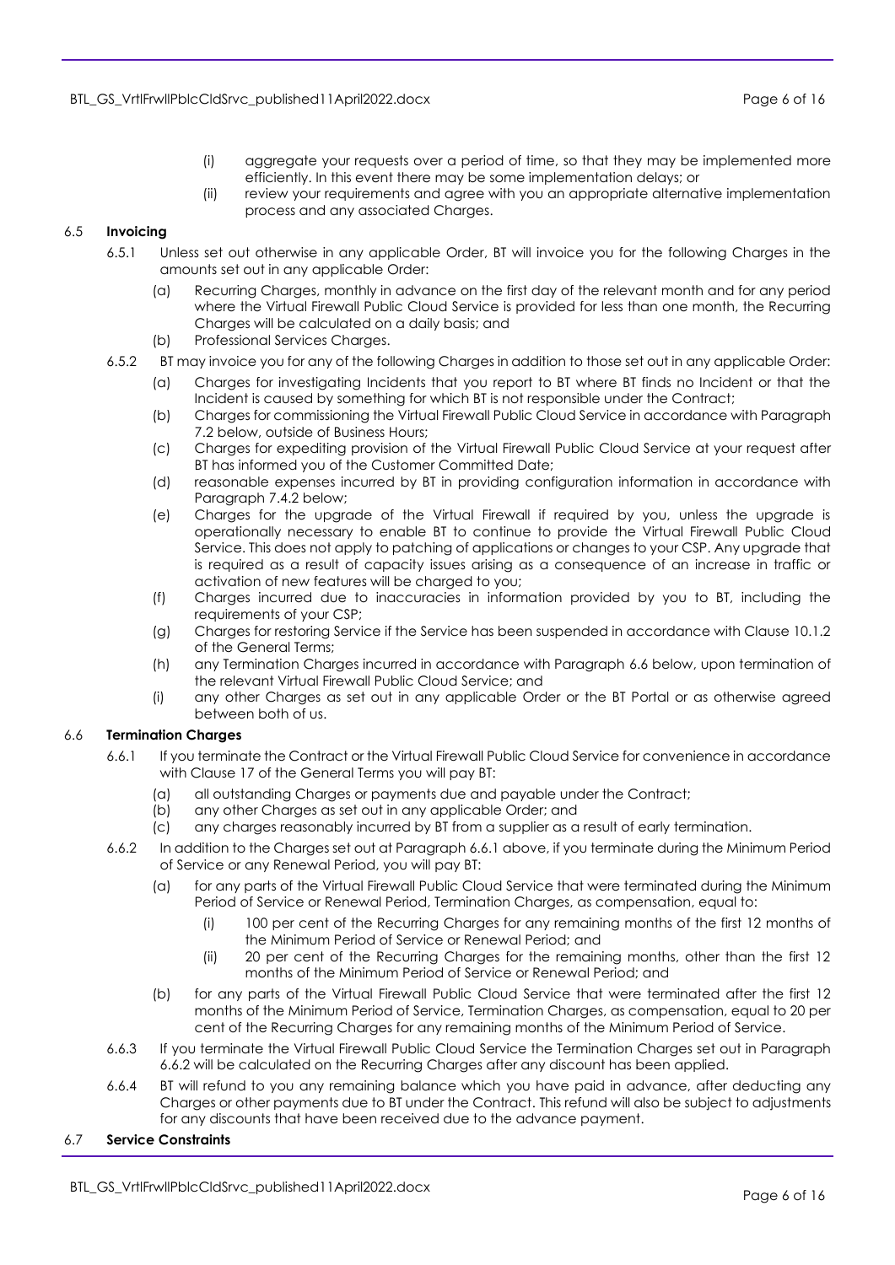- (i) aggregate your requests over a period of time, so that they may be implemented more efficiently. In this event there may be some implementation delays; or
- (ii) review your requirements and agree with you an appropriate alternative implementation process and any associated Charges.

# 6.5 **Invoicing**

- 6.5.1 Unless set out otherwise in any applicable Order, BT will invoice you for the following Charges in the amounts set out in any applicable Order:
	- (a) Recurring Charges, monthly in advance on the first day of the relevant month and for any period where the Virtual Firewall Public Cloud Service is provided for less than one month, the Recurring Charges will be calculated on a daily basis; and
	- (b) Professional Services Charges.
- 6.5.2 BT may invoice you for any of the following Charges in addition to those set out in any applicable Order:
	- (a) Charges for investigating Incidents that you report to BT where BT finds no Incident or that the Incident is caused by something for which BT is not responsible under the Contract;
	- (b) Charges for commissioning the Virtual Firewall Public Cloud Service in accordance with Paragraph [7.2](#page-7-3) below, outside of Business Hours;
	- (c) Charges for expediting provision of the Virtual Firewall Public Cloud Service at your request after BT has informed you of the Customer Committed Date;
	- (d) reasonable expenses incurred by BT in providing configuration information in accordance with Paragraph [7.4.2](#page-7-4) below;
	- (e) Charges for the upgrade of the Virtual Firewall if required by you, unless the upgrade is operationally necessary to enable BT to continue to provide the Virtual Firewall Public Cloud Service. This does not apply to patching of applications or changes to your CSP. Any upgrade that is required as a result of capacity issues arising as a consequence of an increase in traffic or activation of new features will be charged to you;
	- (f) Charges incurred due to inaccuracies in information provided by you to BT, including the requirements of your CSP;
	- (g) Charges for restoring Service if the Service has been suspended in accordance with Clause 10.1.2 of the General Terms;
	- (h) any Termination Charges incurred in accordance with Paragraph [6.6](#page-5-0) below, upon termination of the relevant Virtual Firewall Public Cloud Service; and
	- (i) any other Charges as set out in any applicable Order or the BT Portal or as otherwise agreed between both of us.

#### <span id="page-5-1"></span><span id="page-5-0"></span>6.6 **Termination Charges**

- 6.6.1 If you terminate the Contract or the Virtual Firewall Public Cloud Service for convenience in accordance with Clause 17 of the General Terms you will pay BT:
	- (a) all outstanding Charges or payments due and payable under the Contract;
	- (b) any other Charges as set out in any applicable Order; and
	- (c) any charges reasonably incurred by BT from a supplier as a result of early termination.
- <span id="page-5-2"></span>6.6.2 In addition to the Charges set out at Paragrap[h 6.6.1](#page-5-1) above, if you terminate during the Minimum Period of Service or any Renewal Period, you will pay BT:
	- (a) for any parts of the Virtual Firewall Public Cloud Service that were terminated during the Minimum Period of Service or Renewal Period, Termination Charges, as compensation, equal to:
		- (i) 100 per cent of the Recurring Charges for any remaining months of the first 12 months of the Minimum Period of Service or Renewal Period; and
		- (ii) 20 per cent of the Recurring Charges for the remaining months, other than the first 12 months of the Minimum Period of Service or Renewal Period; and
	- (b) for any parts of the Virtual Firewall Public Cloud Service that were terminated after the first 12 months of the Minimum Period of Service, Termination Charges, as compensation, equal to 20 per cent of the Recurring Charges for any remaining months of the Minimum Period of Service.
- 6.6.3 If you terminate the Virtual Firewall Public Cloud Service the Termination Charges set out in Paragraph [6.6.2](#page-5-2) will be calculated on the Recurring Charges after any discount has been applied.
- 6.6.4 BT will refund to you any remaining balance which you have paid in advance, after deducting any Charges or other payments due to BT under the Contract. This refund will also be subject to adjustments for any discounts that have been received due to the advance payment.

#### 6.7 **Service Constraints**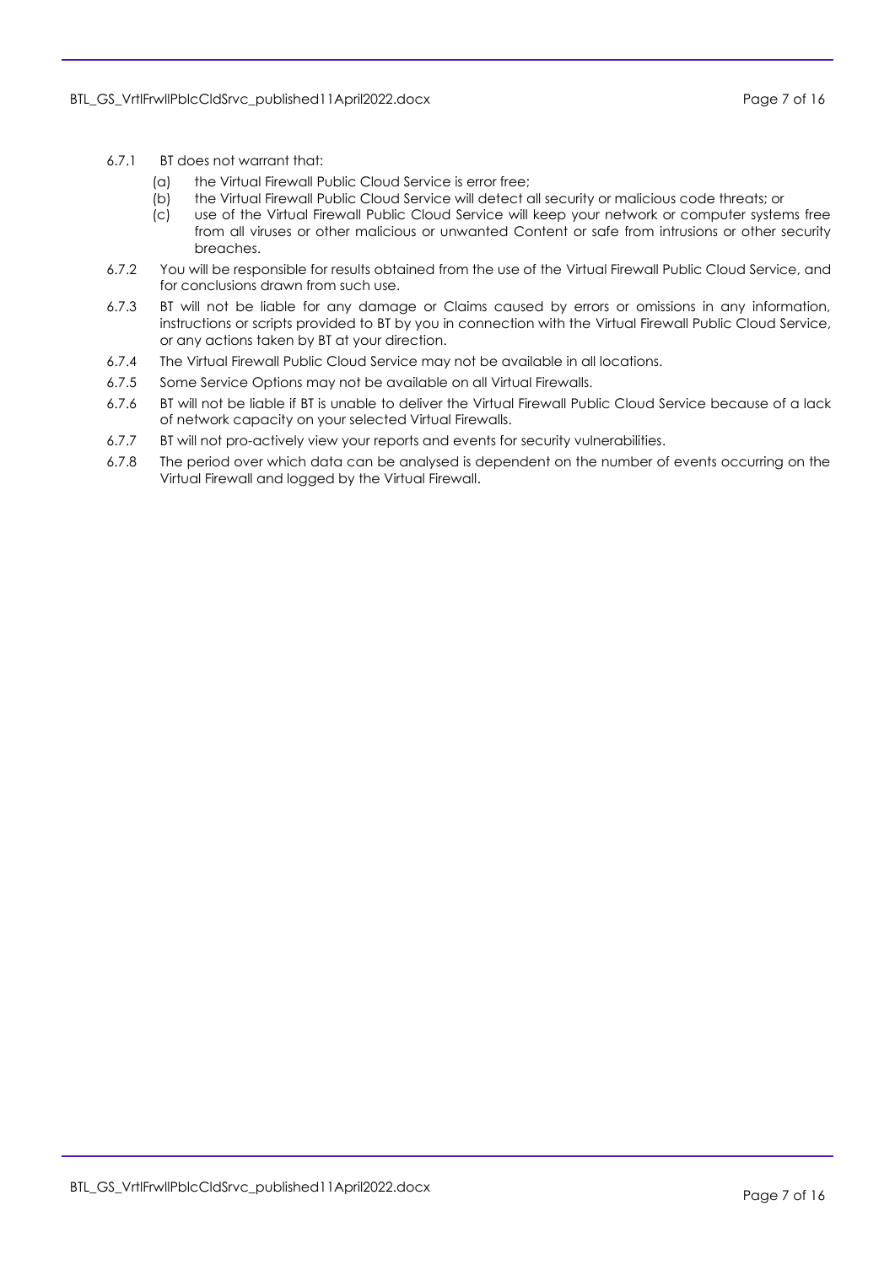#### BTL\_GS\_VrtlFrwllPblcCldSrvc\_published11April2022.docx Page 7 of 16

- 6.7.1 BT does not warrant that:
	- (a) the Virtual Firewall Public Cloud Service is error free;
	- (b) the Virtual Firewall Public Cloud Service will detect all security or malicious code threats; or
	- (c) use of the Virtual Firewall Public Cloud Service will keep your network or computer systems free from all viruses or other malicious or unwanted Content or safe from intrusions or other security breaches.
- 6.7.2 You will be responsible for results obtained from the use of the Virtual Firewall Public Cloud Service, and for conclusions drawn from such use.
- 6.7.3 BT will not be liable for any damage or Claims caused by errors or omissions in any information, instructions or scripts provided to BT by you in connection with the Virtual Firewall Public Cloud Service, or any actions taken by BT at your direction.
- 6.7.4 The Virtual Firewall Public Cloud Service may not be available in all locations.
- 6.7.5 Some Service Options may not be available on all Virtual Firewalls.
- 6.7.6 BT will not be liable if BT is unable to deliver the Virtual Firewall Public Cloud Service because of a lack of network capacity on your selected Virtual Firewalls.
- 6.7.7 BT will not pro-actively view your reports and events for security vulnerabilities.
- 6.7.8 The period over which data can be analysed is dependent on the number of events occurring on the Virtual Firewall and logged by the Virtual Firewall.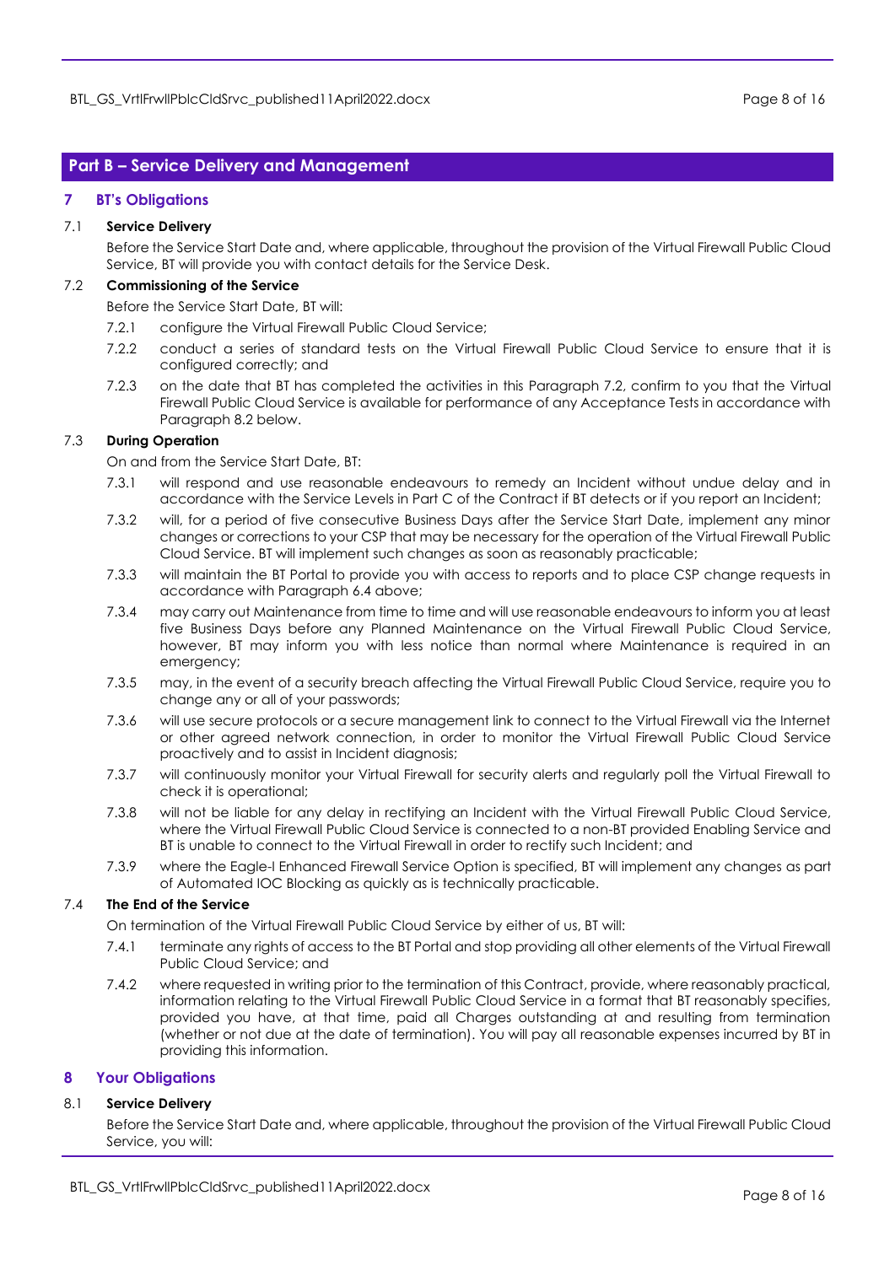# <span id="page-7-0"></span>**Part B – Service Delivery and Management**

# <span id="page-7-1"></span>**7 BT's Obligations**

#### 7.1 **Service Delivery**

Before the Service Start Date and, where applicable, throughout the provision of the Virtual Firewall Public Cloud Service, BT will provide you with contact details for the Service Desk.

## <span id="page-7-3"></span>7.2 **Commissioning of the Service**

Before the Service Start Date, BT will:

- 7.2.1 configure the Virtual Firewall Public Cloud Service;
- 7.2.2 conduct a series of standard tests on the Virtual Firewall Public Cloud Service to ensure that it is configured correctly; and
- <span id="page-7-5"></span>7.2.3 on the date that BT has completed the activities in this Paragraph [7.2,](#page-7-3) confirm to you that the Virtual Firewall Public Cloud Service is available for performance of any Acceptance Tests in accordance with Paragraph [8.2](#page-8-0) below.

#### <span id="page-7-6"></span>7.3 **During Operation**

On and from the Service Start Date, BT:

- 7.3.1 will respond and use reasonable endeavours to remedy an Incident without undue delay and in accordance with the Service Levels in Part C of the Contract if BT detects or if you report an Incident;
- 7.3.2 will, for a period of five consecutive Business Days after the Service Start Date, implement any minor changes or corrections to your CSP that may be necessary for the operation of the Virtual Firewall Public Cloud Service. BT will implement such changes as soon as reasonably practicable;
- 7.3.3 will maintain the BT Portal to provide you with access to reports and to place CSP change requests in accordance with Paragraph [6.4](#page-4-2) above;
- 7.3.4 may carry out Maintenance from time to time and will use reasonable endeavours to inform you at least five Business Days before any Planned Maintenance on the Virtual Firewall Public Cloud Service, however, BT may inform you with less notice than normal where Maintenance is required in an emergency;
- 7.3.5 may, in the event of a security breach affecting the Virtual Firewall Public Cloud Service, require you to change any or all of your passwords;
- 7.3.6 will use secure protocols or a secure management link to connect to the Virtual Firewall via the Internet or other agreed network connection, in order to monitor the Virtual Firewall Public Cloud Service proactively and to assist in Incident diagnosis;
- 7.3.7 will continuously monitor your Virtual Firewall for security alerts and regularly poll the Virtual Firewall to check it is operational;
- 7.3.8 will not be liable for any delay in rectifying an Incident with the Virtual Firewall Public Cloud Service, where the Virtual Firewall Public Cloud Service is connected to a non-BT provided Enabling Service and BT is unable to connect to the Virtual Firewall in order to rectify such Incident; and
- 7.3.9 where the Eagle-I Enhanced Firewall Service Option is specified, BT will implement any changes as part of Automated IOC Blocking as quickly as is technically practicable.

## 7.4 **The End of the Service**

On termination of the Virtual Firewall Public Cloud Service by either of us, BT will:

- 7.4.1 terminate any rights of access to the BT Portal and stop providing all other elements of the Virtual Firewall Public Cloud Service; and
- <span id="page-7-4"></span>7.4.2 where requested in writing prior to the termination of this Contract, provide, where reasonably practical, information relating to the Virtual Firewall Public Cloud Service in a format that BT reasonably specifies, provided you have, at that time, paid all Charges outstanding at and resulting from termination (whether or not due at the date of termination). You will pay all reasonable expenses incurred by BT in providing this information.

#### <span id="page-7-2"></span>**8 Your Obligations**

#### 8.1 **Service Delivery**

Before the Service Start Date and, where applicable, throughout the provision of the Virtual Firewall Public Cloud Service, you will: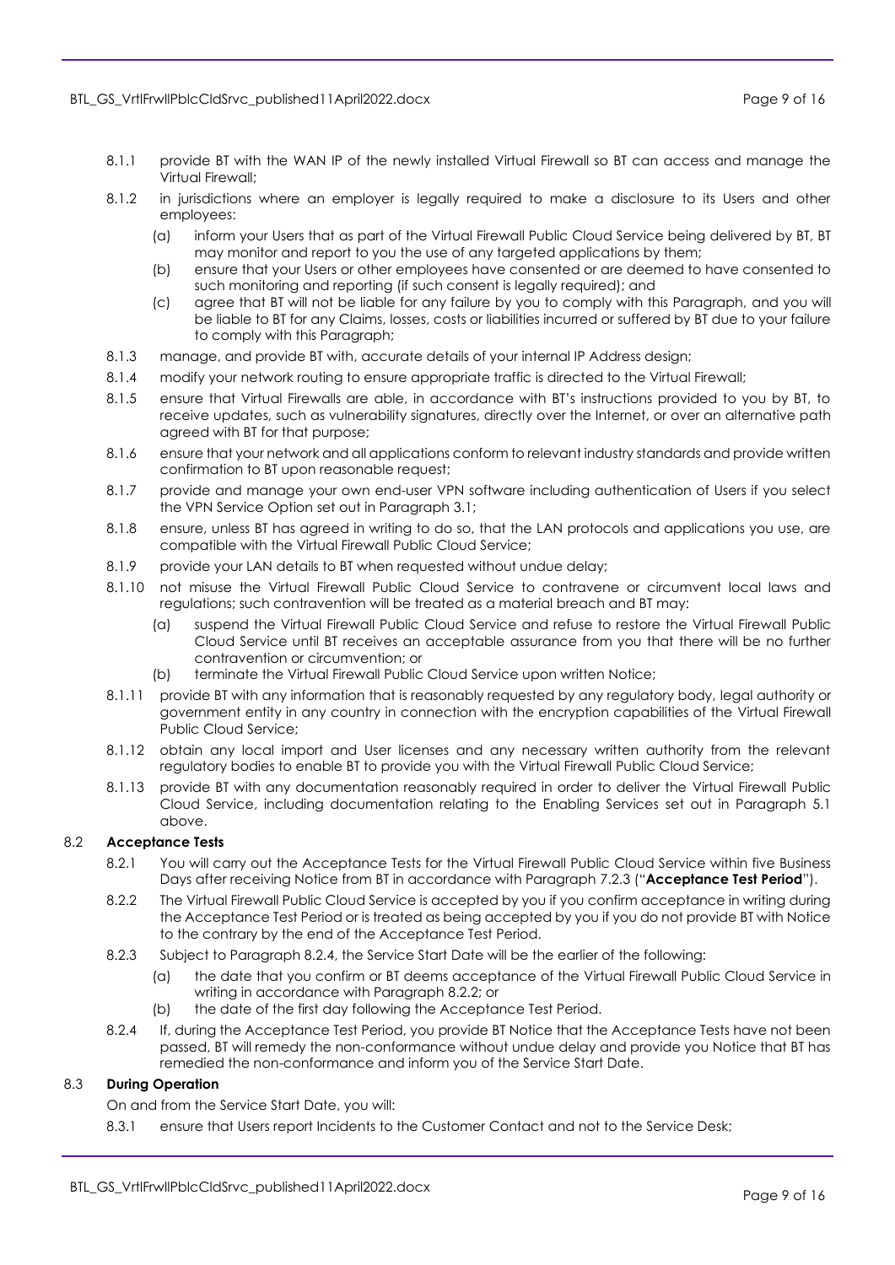#### BTL\_GS\_VrtlFrwllPblcCldSrvc\_published11April2022.docx Page 9 of 16

- 8.1.1 provide BT with the WAN IP of the newly installed Virtual Firewall so BT can access and manage the Virtual Firewall;
- 8.1.2 in jurisdictions where an employer is legally required to make a disclosure to its Users and other employees:
	- (a) inform your Users that as part of the Virtual Firewall Public Cloud Service being delivered by BT, BT may monitor and report to you the use of any targeted applications by them;
	- (b) ensure that your Users or other employees have consented or are deemed to have consented to such monitoring and reporting (if such consent is legally required); and
	- (c) agree that BT will not be liable for any failure by you to comply with this Paragraph, and you will be liable to BT for any Claims, losses, costs or liabilities incurred or suffered by BT due to your failure to comply with this Paragraph;
- 8.1.3 manage, and provide BT with, accurate details of your internal IP Address design;
- 8.1.4 modify your network routing to ensure appropriate traffic is directed to the Virtual Firewall;
- 8.1.5 ensure that Virtual Firewalls are able, in accordance with BT's instructions provided to you by BT, to receive updates, such as vulnerability signatures, directly over the Internet, or over an alternative path agreed with BT for that purpose;
- 8.1.6 ensure that your network and all applications conform to relevant industry standards and provide written confirmation to BT upon reasonable request;
- 8.1.7 provide and manage your own end-user VPN software including authentication of Users if you select the VPN Service Option set out in Paragrap[h 3.1;](#page-1-6)
- 8.1.8 ensure, unless BT has agreed in writing to do so, that the LAN protocols and applications you use, are compatible with the Virtual Firewall Public Cloud Service;
- 8.1.9 provide your LAN details to BT when requested without undue delay;
- 8.1.10 not misuse the Virtual Firewall Public Cloud Service to contravene or circumvent local laws and regulations; such contravention will be treated as a material breach and BT may:
	- (a) suspend the Virtual Firewall Public Cloud Service and refuse to restore the Virtual Firewall Public Cloud Service until BT receives an acceptable assurance from you that there will be no further contravention or circumvention; or
	- (b) terminate the Virtual Firewall Public Cloud Service upon written Notice;
- 8.1.11 provide BT with any information that is reasonably requested by any regulatory body, legal authority or government entity in any country in connection with the encryption capabilities of the Virtual Firewall Public Cloud Service;
- 8.1.12 obtain any local import and User licenses and any necessary written authority from the relevant regulatory bodies to enable BT to provide you with the Virtual Firewall Public Cloud Service;
- 8.1.13 provide BT with any documentation reasonably required in order to deliver the Virtual Firewall Public Cloud Service, including documentation relating to the Enabling Services set out in Paragraph [5.1](#page-3-5) above.

# <span id="page-8-3"></span><span id="page-8-0"></span>8.2 **Acceptance Tests**

- 8.2.1 You will carry out the Acceptance Tests for the Virtual Firewall Public Cloud Service within five Business Days after receiving Notice from BT in accordance with Paragraph [7.2.3](#page-7-5) ("**Acceptance Test Period**").
- <span id="page-8-2"></span>8.2.2 The Virtual Firewall Public Cloud Service is accepted by you if you confirm acceptance in writing during the Acceptance Test Period or is treated as being accepted by you if you do not provide BT with Notice to the contrary by the end of the Acceptance Test Period.
- 8.2.3 Subject to Paragraph [8.2.4,](#page-8-1) the Service Start Date will be the earlier of the following:
	- (a) the date that you confirm or BT deems acceptance of the Virtual Firewall Public Cloud Service in writing in accordance with Paragraph [8.2.2;](#page-8-2) or
	- (b) the date of the first day following the Acceptance Test Period.
- <span id="page-8-1"></span>8.2.4 If, during the Acceptance Test Period, you provide BT Notice that the Acceptance Tests have not been passed, BT will remedy the non-conformance without undue delay and provide you Notice that BT has remedied the non-conformance and inform you of the Service Start Date.

# 8.3 **During Operation**

On and from the Service Start Date, you will:

8.3.1 ensure that Users report Incidents to the Customer Contact and not to the Service Desk;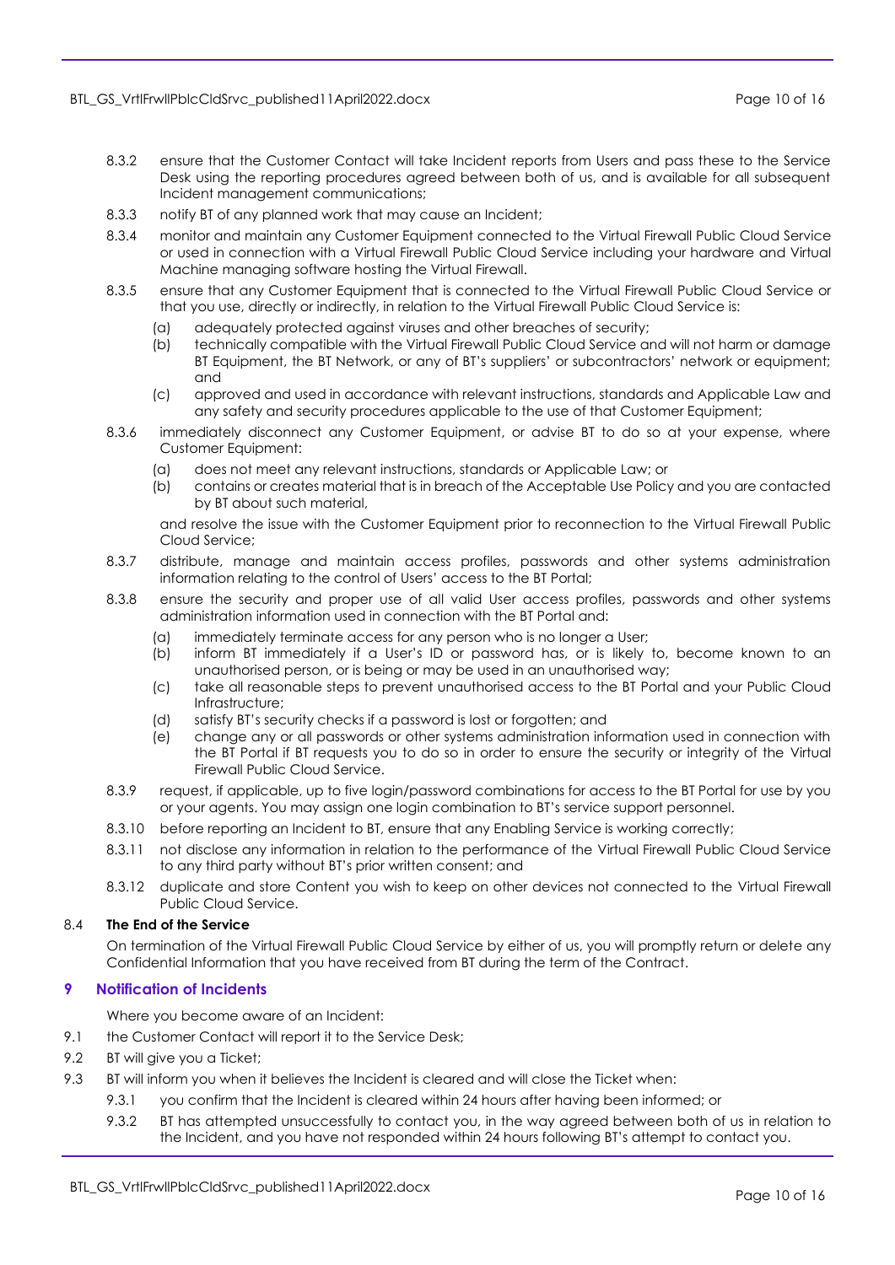- 8.3.2 ensure that the Customer Contact will take Incident reports from Users and pass these to the Service Desk using the reporting procedures agreed between both of us, and is available for all subsequent Incident management communications;
- 8.3.3 notify BT of any planned work that may cause an Incident;
- 8.3.4 monitor and maintain any Customer Equipment connected to the Virtual Firewall Public Cloud Service or used in connection with a Virtual Firewall Public Cloud Service including your hardware and Virtual Machine managing software hosting the Virtual Firewall.
- 8.3.5 ensure that any Customer Equipment that is connected to the Virtual Firewall Public Cloud Service or that you use, directly or indirectly, in relation to the Virtual Firewall Public Cloud Service is:
	- (a) adequately protected against viruses and other breaches of security;
	- (b) technically compatible with the Virtual Firewall Public Cloud Service and will not harm or damage BT Equipment, the BT Network, or any of BT's suppliers' or subcontractors' network or equipment; and
	- (c) approved and used in accordance with relevant instructions, standards and Applicable Law and any safety and security procedures applicable to the use of that Customer Equipment;
- 8.3.6 immediately disconnect any Customer Equipment, or advise BT to do so at your expense, where Customer Equipment:
	- (a) does not meet any relevant instructions, standards or Applicable Law; or
	- (b) contains or creates material that is in breach of the Acceptable Use Policy and you are contacted by BT about such material,

and resolve the issue with the Customer Equipment prior to reconnection to the Virtual Firewall Public Cloud Service;

- 8.3.7 distribute, manage and maintain access profiles, passwords and other systems administration information relating to the control of Users' access to the BT Portal;
- 8.3.8 ensure the security and proper use of all valid User access profiles, passwords and other systems administration information used in connection with the BT Portal and:
	- (a) immediately terminate access for any person who is no longer a User;
	- (b) inform BT immediately if a User's ID or password has, or is likely to, become known to an unauthorised person, or is being or may be used in an unauthorised way;
	- (c) take all reasonable steps to prevent unauthorised access to the BT Portal and your Public Cloud Infrastructure;
	- (d) satisfy BT's security checks if a password is lost or forgotten; and
	- (e) change any or all passwords or other systems administration information used in connection with the BT Portal if BT requests you to do so in order to ensure the security or integrity of the Virtual Firewall Public Cloud Service.
- 8.3.9 request, if applicable, up to five login/password combinations for access to the BT Portal for use by you or your agents. You may assign one login combination to BT's service support personnel.
- 8.3.10 before reporting an Incident to BT, ensure that any Enabling Service is working correctly;
- 8.3.11 not disclose any information in relation to the performance of the Virtual Firewall Public Cloud Service to any third party without BT's prior written consent; and
- 8.3.12 duplicate and store Content you wish to keep on other devices not connected to the Virtual Firewall Public Cloud Service.

# 8.4 **The End of the Service**

On termination of the Virtual Firewall Public Cloud Service by either of us, you will promptly return or delete any Confidential Information that you have received from BT during the term of the Contract.

# <span id="page-9-0"></span>**9 Notification of Incidents**

Where you become aware of an Incident:

- 9.1 the Customer Contact will report it to the Service Desk;
- <span id="page-9-1"></span>9.2 BT will give you a Ticket;
- <span id="page-9-2"></span>9.3 BT will inform you when it believes the Incident is cleared and will close the Ticket when:
	- 9.3.1 you confirm that the Incident is cleared within 24 hours after having been informed; or
	- 9.3.2 BT has attempted unsuccessfully to contact you, in the way agreed between both of us in relation to the Incident, and you have not responded within 24 hours following BT's attempt to contact you.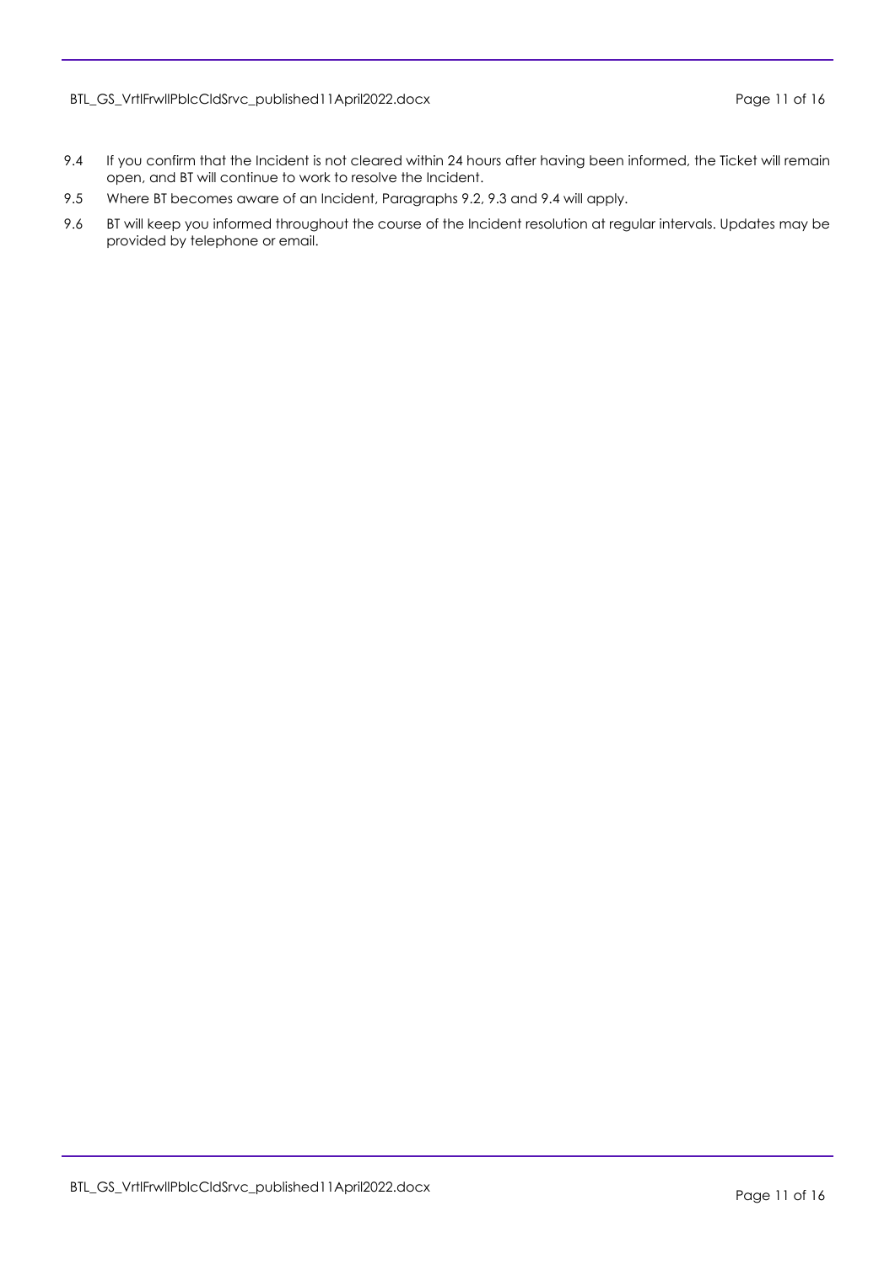# BTL\_GS\_VrtlFrwllPblcCldSrvc\_published11April2022.docx Page 11 of 16

- <span id="page-10-0"></span>9.4 If you confirm that the Incident is not cleared within 24 hours after having been informed, the Ticket will remain open, and BT will continue to work to resolve the Incident.
- 9.5 Where BT becomes aware of an Incident, Paragraphs [9.2,](#page-9-1) [9.3](#page-9-2) and [9.4](#page-10-0) will apply.
- 9.6 BT will keep you informed throughout the course of the Incident resolution at regular intervals. Updates may be provided by telephone or email.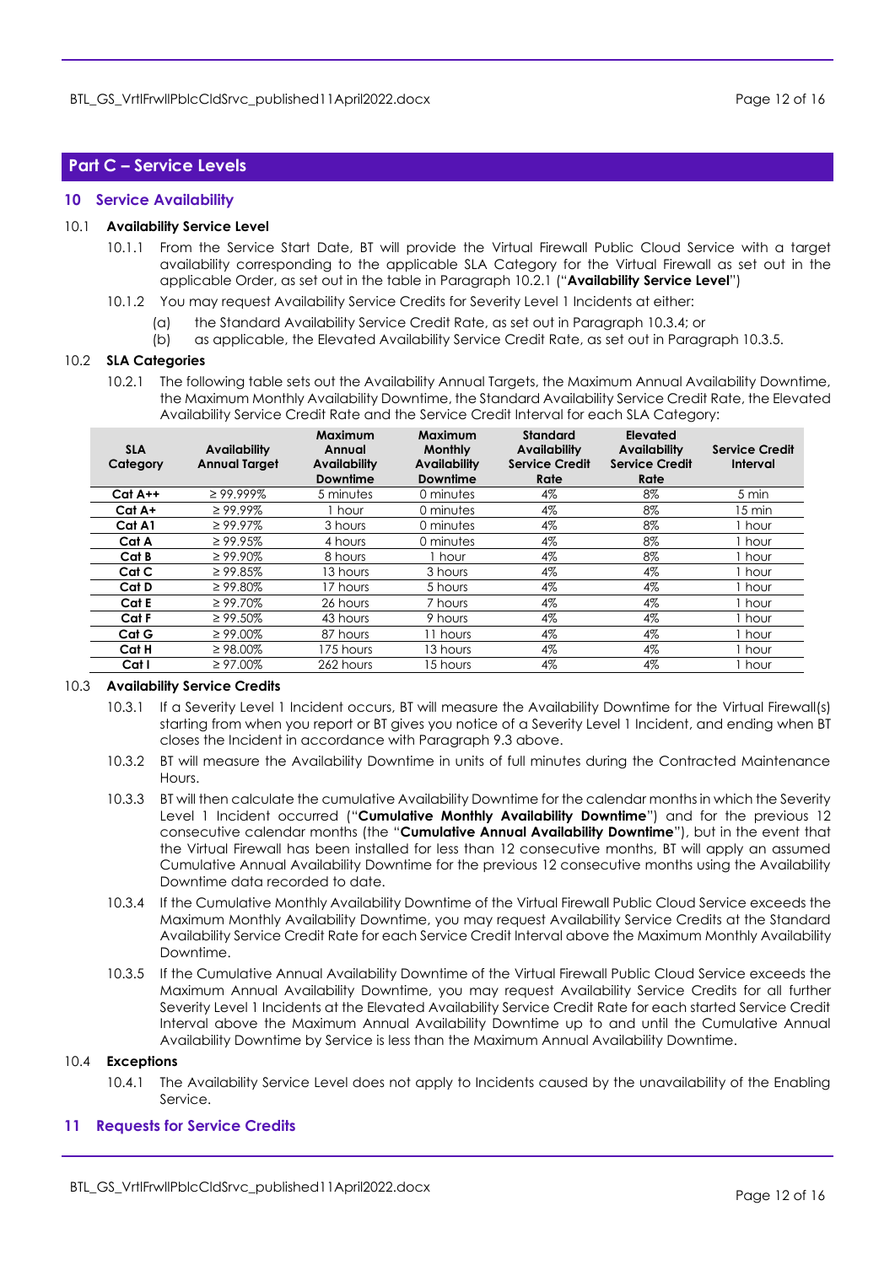# <span id="page-11-0"></span>**Part C – Service Levels**

#### <span id="page-11-1"></span>**10 Service Availability**

#### <span id="page-11-7"></span>10.1 **Availability Service Level**

- 10.1.1 From the Service Start Date, BT will provide the Virtual Firewall Public Cloud Service with a target availability corresponding to the applicable SLA Category for the Virtual Firewall as set out in the applicable Order, as set out in the table in Paragraph [10.2.1](#page-11-3) ("**Availability Service Level**")
- 10.1.2 You may request Availability Service Credits for Severity Level 1 Incidents at either:
	- (a) the Standard Availability Service Credit Rate, as set out in Paragrap[h 10.3.4;](#page-11-4) or
	- (b) as applicable, the Elevated Availability Service Credit Rate, as set out in Paragrap[h 10.3.5.](#page-11-5)

# <span id="page-11-3"></span>10.2 **SLA Categories**

10.2.1 The following table sets out the Availability Annual Targets, the Maximum Annual Availability Downtime, the Maximum Monthly Availability Downtime, the Standard Availability Service Credit Rate, the Elevated Availability Service Credit Rate and the Service Credit Interval for each SLA Category:

| <b>SLA</b><br>Category | <b>Availability</b><br><b>Annual Target</b> | Maximum<br>Annual<br><b>Availability</b><br><b>Downtime</b> | <b>Maximum</b><br><b>Monthly</b><br>Availability<br>Downtime | <b>Standard</b><br><b>Availability</b><br><b>Service Credit</b><br>Rate | Elevated<br><b>Availability</b><br><b>Service Credit</b><br>Rate | <b>Service Credit</b><br>Interval |
|------------------------|---------------------------------------------|-------------------------------------------------------------|--------------------------------------------------------------|-------------------------------------------------------------------------|------------------------------------------------------------------|-----------------------------------|
| $Cat A++$              | $\geq$ 99.999%                              | 5 minutes                                                   | 0 minutes                                                    | 4%                                                                      | 8%                                                               | 5 min                             |
| $Cat A+$               | $\geq 99.99\%$                              | 1 hour                                                      | 0 minutes                                                    | 4%                                                                      | 8%                                                               | 15 min                            |
| Cat A1                 | $\geq 99.97\%$                              | 3 hours                                                     | 0 minutes                                                    | 4%                                                                      | 8%                                                               | 1 hour                            |
| Cat A                  | $\geq 99.95\%$                              | 4 hours                                                     | 0 minutes                                                    | 4%                                                                      | 8%                                                               | 1 hour                            |
| Cat B                  | $\geq 99.90\%$                              | 8 hours                                                     | 1 hour                                                       | 4%                                                                      | 8%                                                               | I hour                            |
| Cat C                  | $\geq$ 99.85%                               | 13 hours                                                    | 3 hours                                                      | 4%                                                                      | $4\%$                                                            | 1 hour                            |
| Cat D                  | $\geq 99.80\%$                              | 17 hours                                                    | 5 hours                                                      | 4%                                                                      | 4%                                                               | 1 hour                            |
| Cat E                  | $\geq 99.70\%$                              | 26 hours                                                    | 7 hours                                                      | 4%                                                                      | $4\%$                                                            | 1 hour                            |
| Cat F                  | $\geq 99.50\%$                              | 43 hours                                                    | 9 hours                                                      | 4%                                                                      | $4\%$                                                            | 1 hour                            |
| Cat G                  | $\geq 99.00\%$                              | 87 hours                                                    | 11 hours                                                     | 4%                                                                      | $4\%$                                                            | I hour                            |
| Cat H                  | $\geq$ 98.00%                               | 175 hours                                                   | 13 hours                                                     | 4%                                                                      | $4\%$                                                            | 1 hour                            |
| Cat I                  | $\geq 97.00\%$                              | 262 hours                                                   | 15 hours                                                     | 4%                                                                      | 4%                                                               | 1 hour                            |

#### <span id="page-11-6"></span>10.3 **Availability Service Credits**

- 10.3.1 If a Severity Level 1 Incident occurs, BT will measure the Availability Downtime for the Virtual Firewall(s) starting from when you report or BT gives you notice of a Severity Level 1 Incident, and ending when BT closes the Incident in accordance with Paragraph [9.3](#page-9-2) above.
- 10.3.2 BT will measure the Availability Downtime in units of full minutes during the Contracted Maintenance **Hours**
- <span id="page-11-8"></span>10.3.3 BT will then calculate the cumulative Availability Downtime for the calendar months in which the Severity Level 1 Incident occurred ("**Cumulative Monthly Availability Downtime**") and for the previous 12 consecutive calendar months (the "**Cumulative Annual Availability Downtime**"), but in the event that the Virtual Firewall has been installed for less than 12 consecutive months, BT will apply an assumed Cumulative Annual Availability Downtime for the previous 12 consecutive months using the Availability Downtime data recorded to date.
- <span id="page-11-4"></span>10.3.4 If the Cumulative Monthly Availability Downtime of the Virtual Firewall Public Cloud Service exceeds the Maximum Monthly Availability Downtime, you may request Availability Service Credits at the Standard Availability Service Credit Rate for each Service Credit Interval above the Maximum Monthly Availability Downtime.
- <span id="page-11-5"></span>10.3.5 If the Cumulative Annual Availability Downtime of the Virtual Firewall Public Cloud Service exceeds the Maximum Annual Availability Downtime, you may request Availability Service Credits for all further Severity Level 1 Incidents at the Elevated Availability Service Credit Rate for each started Service Credit Interval above the Maximum Annual Availability Downtime up to and until the Cumulative Annual Availability Downtime by Service is less than the Maximum Annual Availability Downtime.

#### 10.4 **Exceptions**

10.4.1 The Availability Service Level does not apply to Incidents caused by the unavailability of the Enabling Service.

#### <span id="page-11-2"></span>**11 Requests for Service Credits**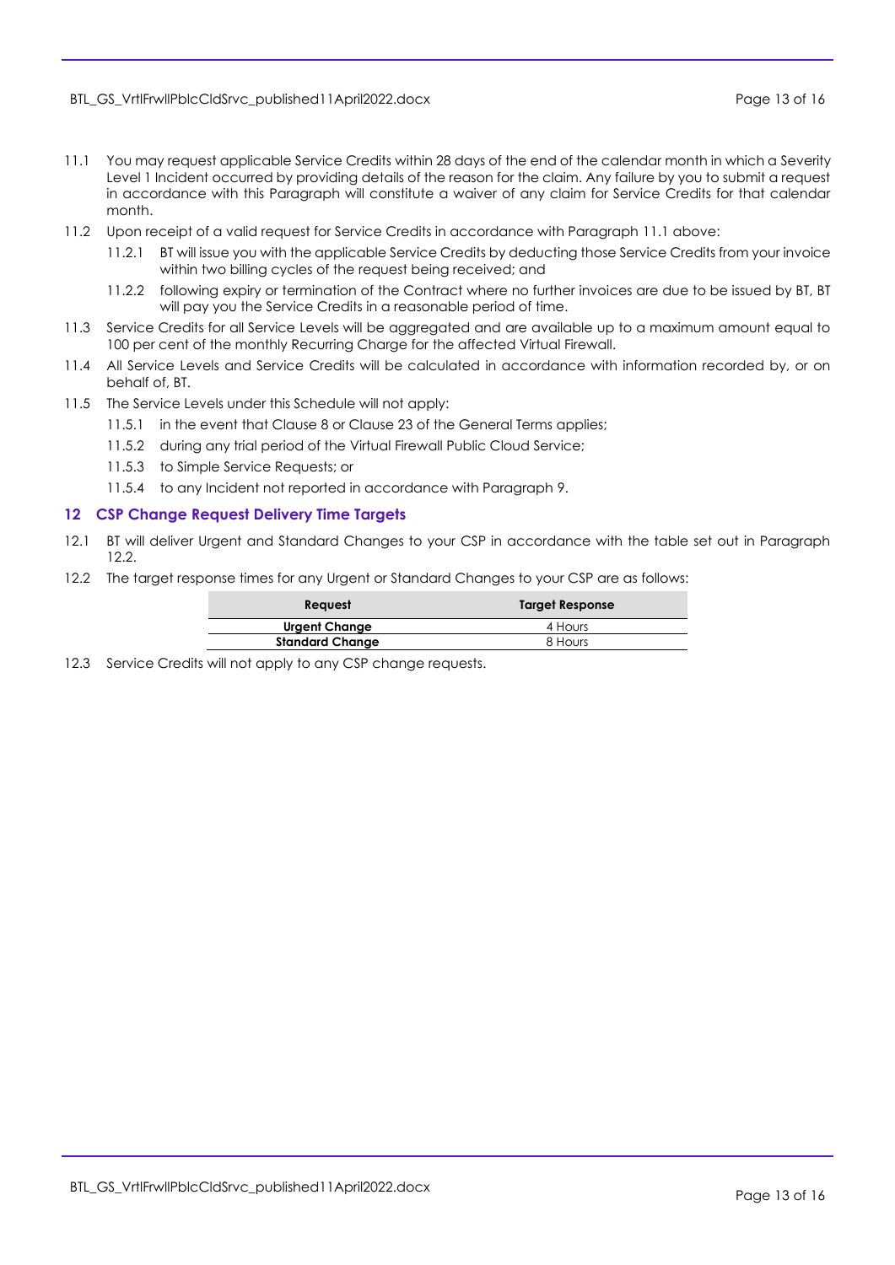# BTL\_GS\_VrtlFrwllPblcCldSrvc\_published11April2022.docx Page 13 of 16

- <span id="page-12-1"></span>11.1 You may request applicable Service Credits within 28 days of the end of the calendar month in which a Severity Level 1 Incident occurred by providing details of the reason for the claim. Any failure by you to submit a request in accordance with this Paragraph will constitute a waiver of any claim for Service Credits for that calendar month.
- 11.2 Upon receipt of a valid request for Service Credits in accordance with Paragraph [11.1](#page-12-1) above:
	- 11.2.1 BT will issue you with the applicable Service Credits by deducting those Service Credits from your invoice within two billing cycles of the request being received; and
	- 11.2.2 following expiry or termination of the Contract where no further invoices are due to be issued by BT, BT will pay you the Service Credits in a reasonable period of time.
- 11.3 Service Credits for all Service Levels will be aggregated and are available up to a maximum amount equal to 100 per cent of the monthly Recurring Charge for the affected Virtual Firewall.
- 11.4 All Service Levels and Service Credits will be calculated in accordance with information recorded by, or on behalf of, BT.
- 11.5 The Service Levels under this Schedule will not apply:
	- 11.5.1 in the event that Clause 8 or Clause 23 of the General Terms applies;
	- 11.5.2 during any trial period of the Virtual Firewall Public Cloud Service;
	- 11.5.3 to Simple Service Requests; or
	- 11.5.4 to any Incident not reported in accordance with Paragrap[h 9.](#page-9-0)

# <span id="page-12-0"></span>**12 CSP Change Request Delivery Time Targets**

- 12.1 BT will deliver Urgent and Standard Changes to your CSP in accordance with the table set out in Paragraph [12.2.](#page-12-2)
- <span id="page-12-2"></span>12.2 The target response times for any Urgent or Standard Changes to your CSP are as follows:

| <b>Reauest</b>         | <b>Target Response</b> |
|------------------------|------------------------|
| <b>Urgent Change</b>   | 4 Hours                |
| <b>Standard Change</b> | 8 Hours                |

12.3 Service Credits will not apply to any CSP change requests.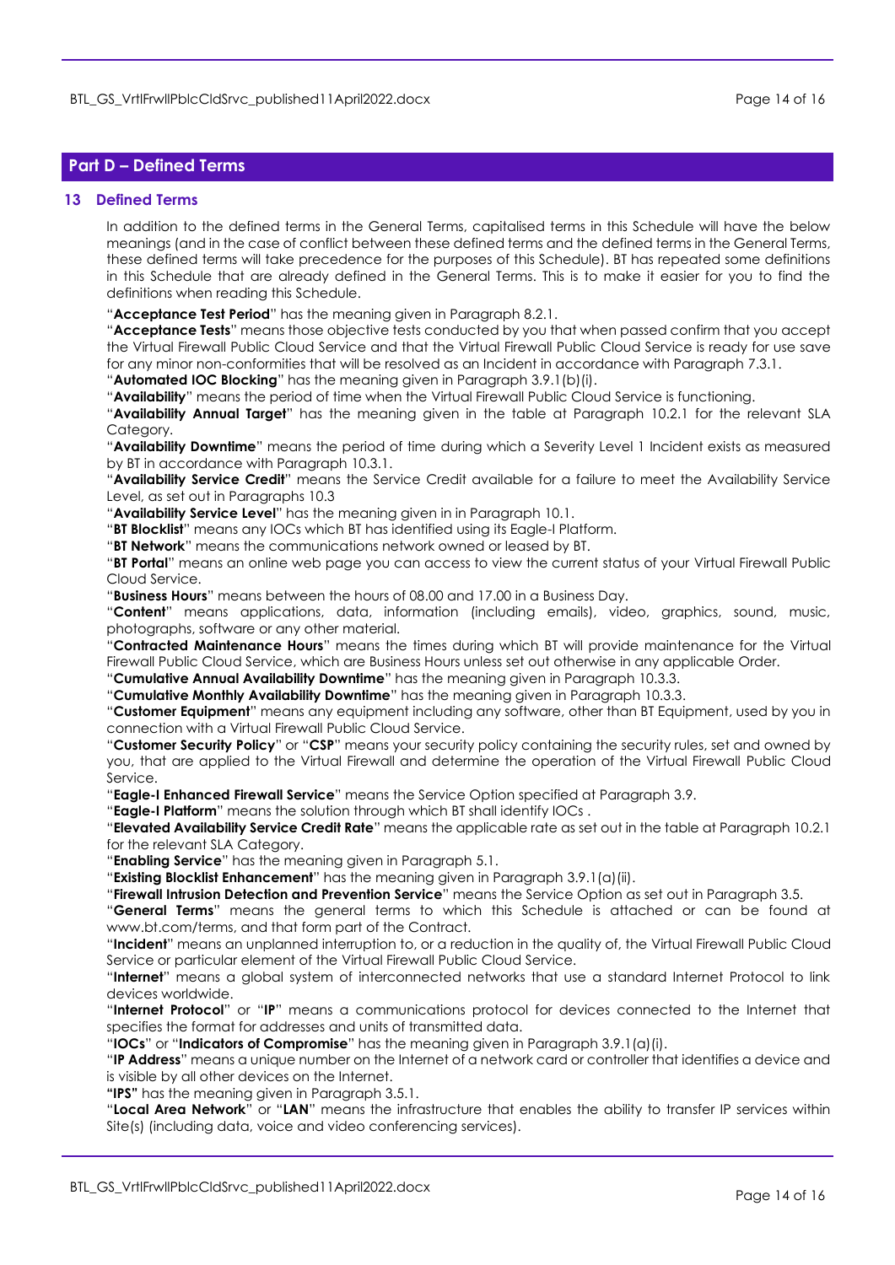# <span id="page-13-0"></span>**Part D – Defined Terms**

#### <span id="page-13-1"></span>**13 Defined Terms**

In addition to the defined terms in the General Terms, capitalised terms in this Schedule will have the below meanings (and in the case of conflict between these defined terms and the defined terms in the General Terms, these defined terms will take precedence for the purposes of this Schedule). BT has repeated some definitions in this Schedule that are already defined in the General Terms. This is to make it easier for you to find the definitions when reading this Schedule.

"**Acceptance Test Period**" has the meaning given in Paragrap[h 8.2.1.](#page-8-3)

"**Acceptance Tests**" means those objective tests conducted by you that when passed confirm that you accept the Virtual Firewall Public Cloud Service and that the Virtual Firewall Public Cloud Service is ready for use save for any minor non-conformities that will be resolved as an Incident in accordance with Paragrap[h 7.3.1.](#page-7-6)

"**Automated IOC Blocking**" has the meaning given in Paragraph [3.9.1\(b\)\(i\).](#page-3-3)

"**Availability**" means the period of time when the Virtual Firewall Public Cloud Service is functioning.

"**Availability Annual Target**" has the meaning given in the table at Paragraph [10.2.1](#page-11-3) for the relevant SLA Category.

"**Availability Downtime**" means the period of time during which a Severity Level 1 Incident exists as measured by BT in accordance with Paragrap[h 10.3.1.](#page-11-6)

"**Availability Service Credit**" means the Service Credit available for a failure to meet the Availability Service Level, as set out in Paragraphs 10.3

"**Availability Service Level**" has the meaning given in in Paragraph [10.1.](#page-11-7)

"**BT Blocklist**" means any IOCs which BT has identified using its Eagle-I Platform.

"**BT Network**" means the communications network owned or leased by BT.

"**BT Portal**" means an online web page you can access to view the current status of your Virtual Firewall Public Cloud Service.

"**Business Hours**" means between the hours of 08.00 and 17.00 in a Business Day.

"**Content**" means applications, data, information (including emails), video, graphics, sound, music, photographs, software or any other material.

"**Contracted Maintenance Hours**" means the times during which BT will provide maintenance for the Virtual Firewall Public Cloud Service, which are Business Hours unless set out otherwise in any applicable Order.

"**Cumulative Annual Availability Downtime**" has the meaning given in Paragraph [10.3.3.](#page-11-8)

"**Cumulative Monthly Availability Downtime**" has the meaning given in Paragrap[h 10.3.3.](#page-11-8)

"**Customer Equipment**" means any equipment including any software, other than BT Equipment, used by you in connection with a Virtual Firewall Public Cloud Service.

"**Customer Security Policy**" or "**CSP**" means your security policy containing the security rules, set and owned by you, that are applied to the Virtual Firewall and determine the operation of the Virtual Firewall Public Cloud Service.

"**Eagle-I Enhanced Firewall Service**" means the Service Option specified at Paragraph 3.9.

"**Eagle-I Platform**" means the solution through which BT shall identify IOCs .

"**Elevated Availability Service Credit Rate**" means the applicable rate as set out in the table at Paragraph [10.2.1](#page-11-3) for the relevant SLA Category.

"**Enabling Service**" has the meaning given in Paragraph [5.1.](#page-3-5)

"**Existing Blocklist Enhancement**" has the meaning given in Paragraph [3.9.1\(a\)\(ii\).](#page-3-6)

"**Firewall Intrusion Detection and Prevention Service**" means the Service Option as set out in Paragraph 3.5.

"**General Terms**" means the general terms to which this Schedule is attached or can be found at www.bt.com/terms, and that form part of the Contract.

"**Incident**" means an unplanned interruption to, or a reduction in the quality of, the Virtual Firewall Public Cloud Service or particular element of the Virtual Firewall Public Cloud Service.

"**Internet**" means a global system of interconnected networks that use a standard Internet Protocol to link devices worldwide.

"**Internet Protocol**" or "**IP**" means a communications protocol for devices connected to the Internet that specifies the format for addresses and units of transmitted data.

"**IOCs**" or "**Indicators of Compromise**" has the meaning given in Paragraph [3.9.1\(a\)\(i\).](#page-2-0)

"**IP Address**" means a unique number on the Internet of a network card or controller that identifies a device and is visible by all other devices on the Internet.

**"IPS"** has the meaning given in Paragraph [3.5.1.](#page-2-1)

"**Local Area Network**" or "**LAN**" means the infrastructure that enables the ability to transfer IP services within Site(s) (including data, voice and video conferencing services).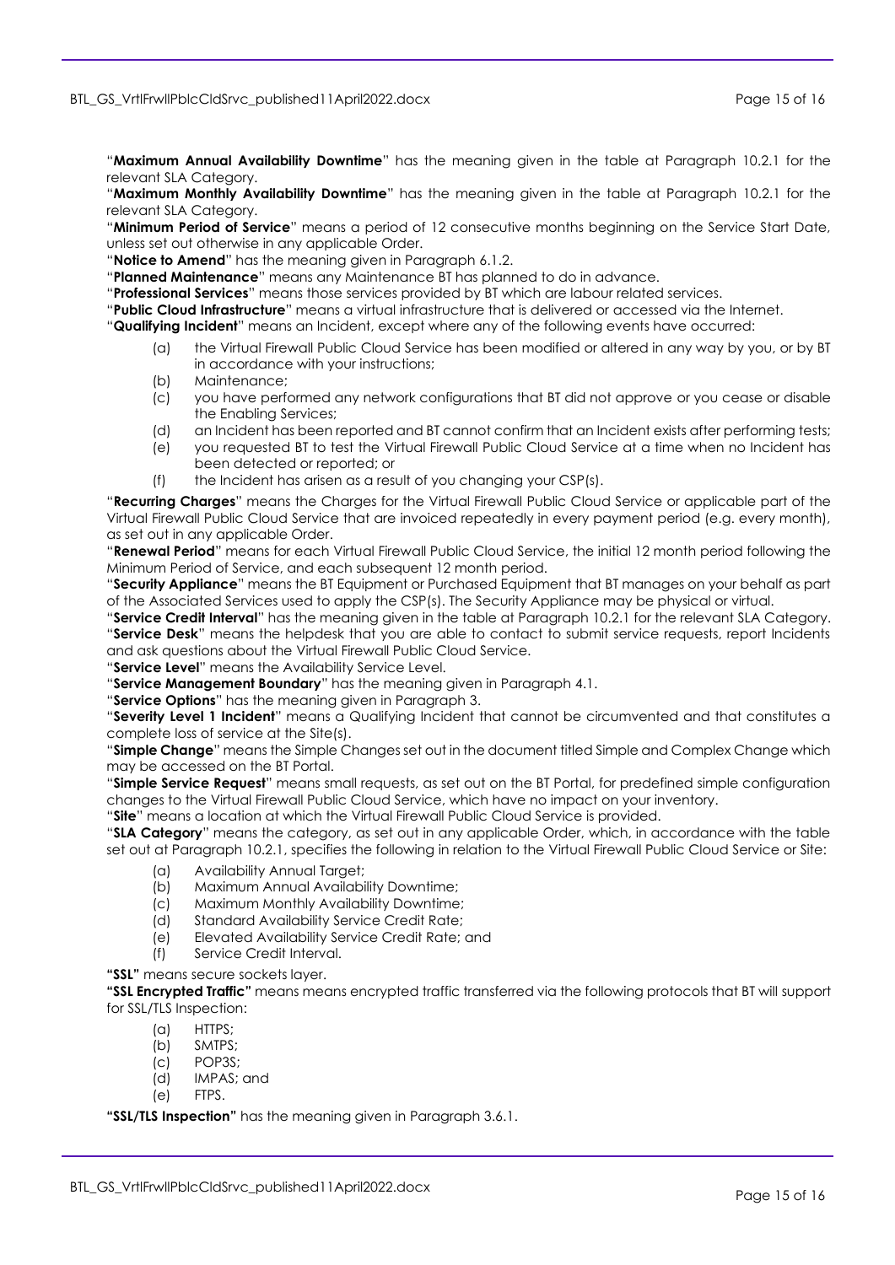#### BTL\_GS\_VrtlFrwllPblcCldSrvc\_published11April2022.docx Page 15 of 16

"**Maximum Annual Availability Downtime**" has the meaning given in the table at Paragraph [10.2.1](#page-11-3) for the relevant SLA Category.

"**Maximum Monthly Availability Downtime**" has the meaning given in the table at Paragraph [10.2.1](#page-11-3) for the relevant SLA Category.

"**Minimum Period of Service**" means a period of 12 consecutive months beginning on the Service Start Date, unless set out otherwise in any applicable Order.

"**Notice to Amend**" has the meaning given in Paragraph [6.1.2.](#page-4-0)

"**Planned Maintenance**" means any Maintenance BT has planned to do in advance.

"**Professional Services**" means those services provided by BT which are labour related services.

"**Public Cloud Infrastructure**" means a virtual infrastructure that is delivered or accessed via the Internet.

"**Qualifying Incident**" means an Incident, except where any of the following events have occurred:

- (a) the Virtual Firewall Public Cloud Service has been modified or altered in any way by you, or by BT in accordance with your instructions;
- (b) Maintenance;
- (c) you have performed any network configurations that BT did not approve or you cease or disable the Enabling Services;
- (d) an Incident has been reported and BT cannot confirm that an Incident exists after performing tests;
- (e) you requested BT to test the Virtual Firewall Public Cloud Service at a time when no Incident has been detected or reported; or
- (f) the Incident has arisen as a result of you changing your CSP(s).

"**Recurring Charges**" means the Charges for the Virtual Firewall Public Cloud Service or applicable part of the Virtual Firewall Public Cloud Service that are invoiced repeatedly in every payment period (e.g. every month), as set out in any applicable Order.

"**Renewal Period**" means for each Virtual Firewall Public Cloud Service, the initial 12 month period following the Minimum Period of Service, and each subsequent 12 month period.

"**Security Appliance**" means the BT Equipment or Purchased Equipment that BT manages on your behalf as part of the Associated Services used to apply the CSP(s). The Security Appliance may be physical or virtual.

"**Service Credit Interval**" has the meaning given in the table at Paragraph [10.2.1](#page-11-3) for the relevant SLA Category. "**Service Desk**" means the helpdesk that you are able to contact to submit service requests, report Incidents and ask questions about the Virtual Firewall Public Cloud Service.

"**Service Level**" means the Availability Service Level.

"**Service Management Boundary**" has the meaning given in Paragrap[h 4.1.](#page-3-7)

"**Service Options**" has the meaning given in Paragraph [3.](#page-1-5)

"**Severity Level 1 Incident**" means a Qualifying Incident that cannot be circumvented and that constitutes a complete loss of service at the Site(s).

"**Simple Change**" means the Simple Changes set out in the document titled Simple and Complex Change which may be accessed on the BT Portal.

"**Simple Service Request**" means small requests, as set out on the BT Portal, for predefined simple configuration changes to the Virtual Firewall Public Cloud Service, which have no impact on your inventory.

"**Site**" means a location at which the Virtual Firewall Public Cloud Service is provided.

"**SLA Category**" means the category, as set out in any applicable Order, which, in accordance with the table set out at Paragraph [10.2.1,](#page-11-3) specifies the following in relation to the Virtual Firewall Public Cloud Service or Site:

- (a) Availability Annual Target;
- (b) Maximum Annual Availability Downtime;
- (c) Maximum Monthly Availability Downtime;
- (d) Standard Availability Service Credit Rate;
- (e) Elevated Availability Service Credit Rate; and
- (f) Service Credit Interval.

#### **"SSL"** means secure sockets layer.

**"SSL Encrypted Traffic"** means means encrypted traffic transferred via the following protocols that BT will support for SSL/TLS Inspection:

- (a) HTTPS;
- (b) SMTPS;
- (c) POP3S;
- (d) IMPAS; and
- (e) FTPS.

**"SSL/TLS Inspection"** has the meaning given in Paragraph [3.6.1.](#page-2-2)